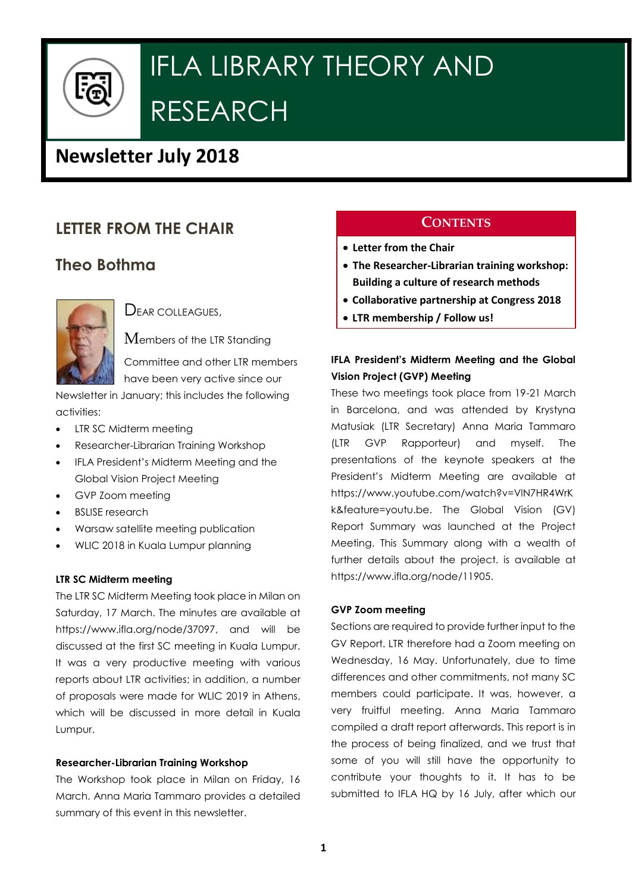

# IFLA LIBRARY THEORY AND RESEARCH

# **Newsletter July 2018**

# **LETTER FROM THE CHAIR**

# **Theo Bothma**



DEAR COLLEAGUES

Members of the LTR Standing

Committee and other LTR members have been very active since our

Newsletter in January; this includes the following activities:

- LTR SC Midterm meeting
- Researcher-Librarian Training Workshop
- IFLA President's Midterm Meeting and the Global Vision Project Meeting
- GVP Zoom meeting
- BSLISE research
- Warsaw satellite meeting publication
- WLIC 2018 in Kuala Lumpur planning

#### **LTR SC Midterm meeting**

The LTR SC Midterm Meeting took place in Milan on Saturday, 17 March. The minutes are available at https://www.ifla.org/node/37097, and will be discussed at the first SC meeting in Kuala Lumpur. It was a very productive meeting with various reports about LTR activities; in addition, a number of proposals were made for WLIC 2019 in Athens, which will be discussed in more detail in Kuala Lumpur.

#### **Researcher-Librarian Training Workshop**

The Workshop took place in Milan on Friday, 16 March. Anna Maria Tammaro provides a detailed summary of this event in this newsletter.

# **CONTENTS**

- **Letter from the Chair**
- **The Researcher-Librarian training workshop: Building a culture of research methods**
- **Collaborative partnership at Congress 2018**
- **LTR membership / Follow us!**

### **IFLA President's Midterm Meeting and the Global Vision Project (GVP) Meeting**

These two meetings took place from 19-21 March in Barcelona, and was attended by Krystyna Matusiak (LTR Secretary) Anna Maria Tammaro (LTR GVP Rapporteur) and myself. The presentations of the keynote speakers at the President's Midterm Meeting are available at https://www.youtube.com/watch?v=VlN7HR4WrK k&feature=youtu.be. The Global Vision (GV) Report Summary was launched at the Project Meeting. This Summary along with a wealth of further details about the project. is available at https://www.ifla.org/node/11905.

#### **GVP Zoom meeting**

Sections are required to provide further input to the GV Report. LTR therefore had a Zoom meeting on Wednesday, 16 May. Unfortunately, due to time differences and other commitments, not many SC members could participate. It was, however, a very fruitful meeting. Anna Maria Tammaro compiled a draft report afterwards. This report is in the process of being finalized, and we trust that some of you will still have the opportunity to contribute your thoughts to it. It has to be submitted to IFLA HQ by 16 July, after which our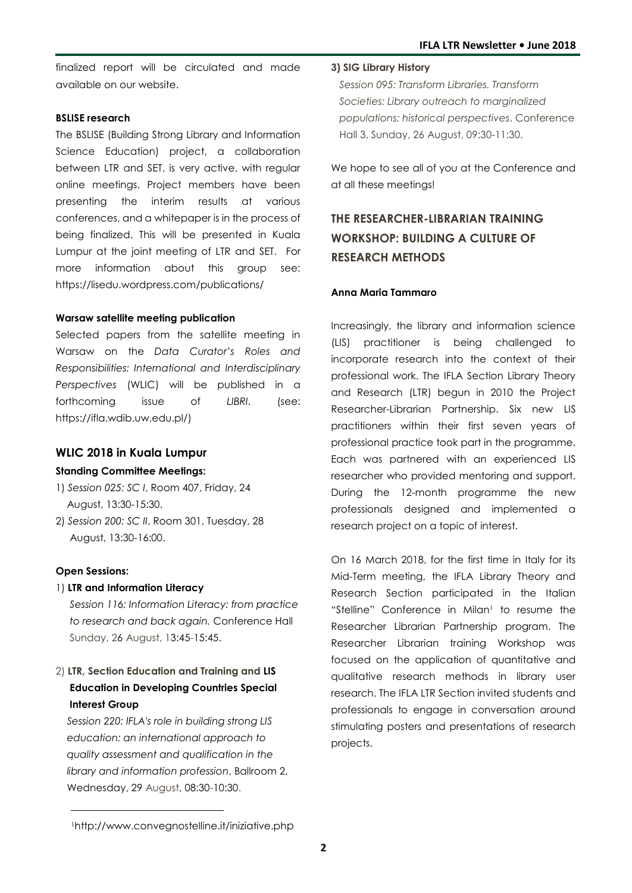finalized report will be circulated and made available on our website.

#### **BSLISE research**

The BSLISE (Building Strong Library and Information Science Education) project, a collaboration between LTR and SET, is very active, with regular online meetings. Project members have been presenting the interim results at various conferences, and a whitepaper is in the process of being finalized. This will be presented in Kuala Lumpur at the joint meeting of LTR and SET. For more information about this group see: https://lisedu.wordpress.com/publications/

#### **Warsaw satellite meeting publication**

Selected papers from the satellite meeting in Warsaw on the *Data Curator's Roles and Responsibilities: International and Interdisciplinary Perspectives* (WLIC) will be published in a forthcoming issue of *LIBRI*. (see: https://ifla.wdib.uw.edu.pl/)

#### **WLIC 2018 in Kuala Lumpur**

#### **Standing Committee Meetings:**

- 1) *Session 025: SC I*, Room 407, Friday, 24 August, 13:30-15:30.
- 2) *Session 200: SC II*, Room 301, Tuesday, 28 August, 13:30-16:00.

#### **Open Sessions:**

 $\overline{a}$ 

#### 1) **LTR and Information Literacy**

*Session 116: Information Literacy: from practice to research and back again.* Conference Hall Sunday, 26 August, 13:45-15:45.

### 2) **LTR, Section Education and Training and LIS Education in Developing Countries Special Interest Group**

 *Session 220: IFLA's role in building strong LIS education: an international approach to quality assessment and qualification in the library and information profession*, Ballroom 2, Wednesday, 29 August, 08:30-10:30.

#### **3) SIG Library History**

 *Session 095: Transform Libraries. Transform Societies: Library outreach to marginalized populations: historical perspectives*. Conference Hall 3, Sunday, 26 August, 09:30-11:30.

We hope to see all of you at the Conference and at all these meetings!

# **THE RESEARCHER-LIBRARIAN TRAINING WORKSHOP: BUILDING A CULTURE OF RESEARCH METHODS**

#### **Anna Maria Tammaro**

Increasingly, the library and information science (LIS) practitioner is being challenged to incorporate research into the context of their professional work. The IFLA Section Library Theory and Research (LTR) begun in 2010 the Project Researcher-Librarian Partnership. Six new LIS practitioners within their first seven years of professional practice took part in the programme. Each was partnered with an experienced LIS researcher who provided mentoring and support. During the 12-month programme the new professionals designed and implemented a research project on a topic of interest.

On 16 March 2018, for the first time in Italy for its Mid-Term meeting, the IFLA Library Theory and Research Section participated in the Italian "Stelline" Conference in Milan $\,$  to resume the Researcher Librarian Partnership program. The Researcher Librarian training Workshop was focused on the application of quantitative and qualitative research methods in library user research. The IFLA LTR Section invited students and professionals to engage in conversation around stimulating posters and presentations of research projects.

<sup>1</sup>http://www.convegnostelline.it/iniziative.php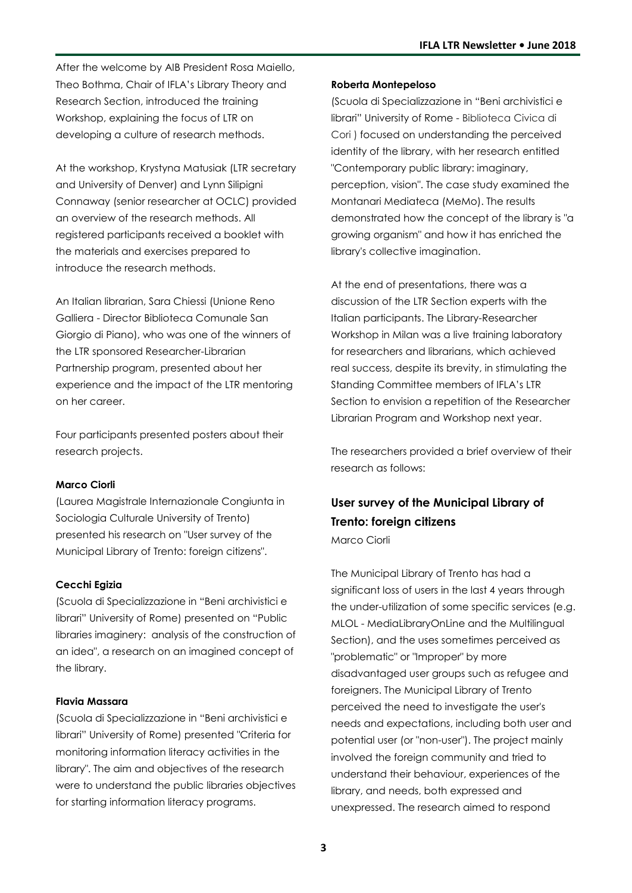After the welcome by AIB President Rosa Maiello, Theo Bothma, Chair of IFLA's Library Theory and Research Section, introduced the training Workshop, explaining the focus of LTR on developing a culture of research methods.

At the workshop, Krystyna Matusiak (LTR secretary and University of Denver) and Lynn Silipigni Connaway (senior researcher at OCLC) provided an overview of the research methods. All registered participants received a booklet with the materials and exercises prepared to introduce the research methods.

An Italian librarian, Sara Chiessi (Unione Reno Galliera - Director Biblioteca Comunale San Giorgio di Piano), who was one of the winners of the LTR sponsored Researcher-Librarian Partnership program, presented about her experience and the impact of the LTR mentoring on her career.

Four participants presented posters about their research projects.

#### **Marco Ciorli**

(Laurea Magistrale Internazionale Congiunta in Sociologia Culturale University of Trento) presented his research on "User survey of the Municipal Library of Trento: foreign citizens".

#### **Cecchi Egizia**

(Scuola di Specializzazione in "Beni archivistici e librari" University of Rome) presented on "Public libraries imaginery: analysis of the construction of an idea", a research on an imagined concept of the library.

#### **Flavia Massara**

(Scuola di Specializzazione in "Beni archivistici e librari" University of Rome) presented "Criteria for monitoring information literacy activities in the library". The aim and objectives of the research were to understand the public libraries objectives for starting information literacy programs.

#### **Roberta Montepeloso**

(Scuola di Specializzazione in "Beni archivistici e librari" University of Rome - Biblioteca Civica di Cori ) focused on understanding the perceived identity of the library, with her research entitled "Contemporary public library: imaginary, perception, vision". The case study examined the Montanari Mediateca (MeMo). The results demonstrated how the concept of the library is "a growing organism" and how it has enriched the library's collective imagination.

At the end of presentations, there was a discussion of the LTR Section experts with the Italian participants. The Library-Researcher Workshop in Milan was a live training laboratory for researchers and librarians, which achieved real success, despite its brevity, in stimulating the Standing Committee members of IFLA's LTR Section to envision a repetition of the Researcher Librarian Program and Workshop next year.

The researchers provided a brief overview of their research as follows:

# **User survey of the Municipal Library of Trento: foreign citizens**

Marco Ciorli

The Municipal Library of Trento has had a significant loss of users in the last 4 years through the under-utilization of some specific services (e.g. MLOL - MediaLibraryOnLine and the Multilingual Section), and the uses sometimes perceived as "problematic" or "Improper" by more disadvantaged user groups such as refugee and foreigners. The Municipal Library of Trento perceived the need to investigate the user's needs and expectations, including both user and potential user (or "non-user"). The project mainly involved the foreign community and tried to understand their behaviour, experiences of the library, and needs, both expressed and unexpressed. The research aimed to respond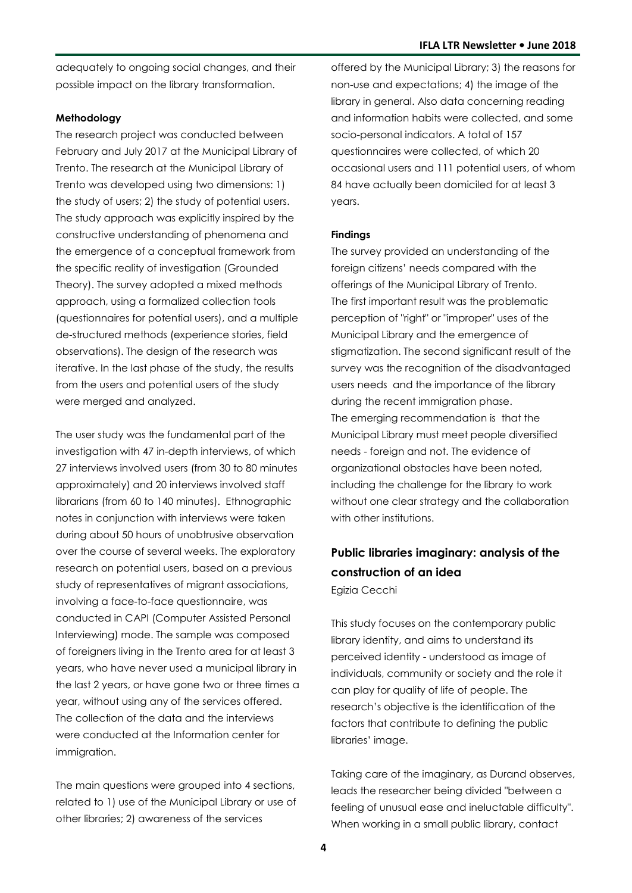adequately to ongoing social changes, and their possible impact on the library transformation.

#### **Methodology**

The research project was conducted between February and July 2017 at the Municipal Library of Trento. The research at the Municipal Library of Trento was developed using two dimensions: 1) the study of users; 2) the study of potential users. The study approach was explicitly inspired by the constructive understanding of phenomena and the emergence of a conceptual framework from the specific reality of investigation (Grounded Theory). The survey adopted a mixed methods approach, using a formalized collection tools (questionnaires for potential users), and a multiple de-structured methods (experience stories, field observations). The design of the research was iterative. In the last phase of the study, the results from the users and potential users of the study were merged and analyzed.

The user study was the fundamental part of the investigation with 47 in-depth interviews, of which 27 interviews involved users (from 30 to 80 minutes approximately) and 20 interviews involved staff librarians (from 60 to 140 minutes). Ethnographic notes in conjunction with interviews were taken during about 50 hours of unobtrusive observation over the course of several weeks. The exploratory research on potential users, based on a previous study of representatives of migrant associations, involving a face-to-face questionnaire, was conducted in CAPI (Computer Assisted Personal Interviewing) mode. The sample was composed of foreigners living in the Trento area for at least 3 years, who have never used a municipal library in the last 2 years, or have gone two or three times a year, without using any of the services offered. The collection of the data and the interviews were conducted at the Information center for immigration.

The main questions were grouped into 4 sections, related to 1) use of the Municipal Library or use of other libraries; 2) awareness of the services

offered by the Municipal Library; 3) the reasons for non-use and expectations; 4) the image of the library in general. Also data concerning reading and information habits were collected, and some socio-personal indicators. A total of 157 questionnaires were collected, of which 20 occasional users and 111 potential users, of whom 84 have actually been domiciled for at least 3 years.

#### **Findings**

The survey provided an understanding of the foreign citizens' needs compared with the offerings of the Municipal Library of Trento. The first important result was the problematic perception of "right" or "improper" uses of the Municipal Library and the emergence of stigmatization. The second significant result of the survey was the recognition of the disadvantaged users needs and the importance of the library during the recent immigration phase. The emerging recommendation is that the Municipal Library must meet people diversified needs - foreign and not. The evidence of organizational obstacles have been noted, including the challenge for the library to work without one clear strategy and the collaboration with other institutions.

## **Public libraries imaginary: analysis of the construction of an idea** Egizia Cecchi

This study focuses on the contemporary public library identity, and aims to understand its perceived identity - understood as image of individuals, community or society and the role it can play for quality of life of people. The research's objective is the identification of the factors that contribute to defining the public libraries' image.

Taking care of the imaginary, as Durand observes, leads the researcher being divided "between a feeling of unusual ease and ineluctable difficulty". When working in a small public library, contact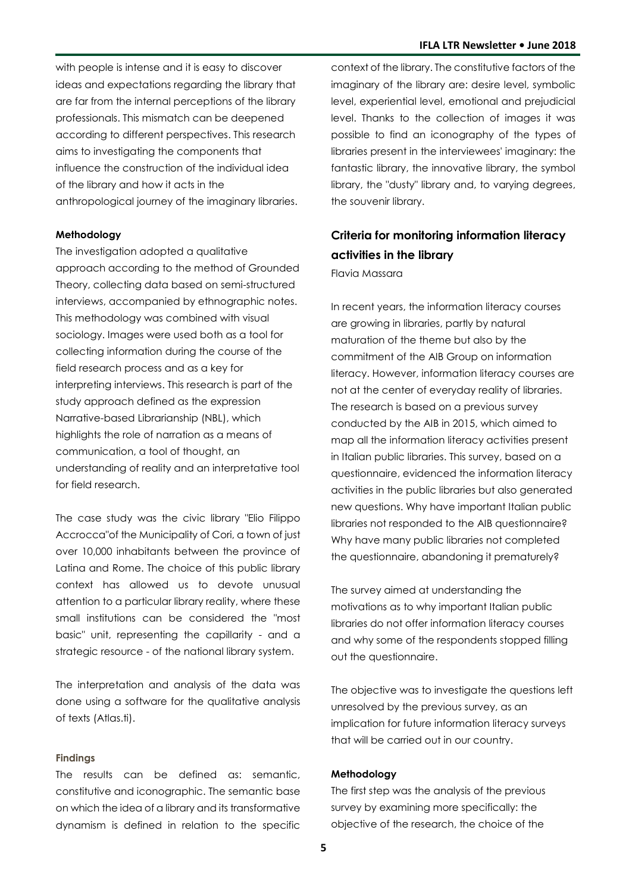with people is intense and it is easy to discover ideas and expectations regarding the library that are far from the internal perceptions of the library professionals. This mismatch can be deepened according to different perspectives. This research aims to investigating the components that influence the construction of the individual idea of the library and how it acts in the anthropological journey of the imaginary libraries.

#### **Methodology**

The investigation adopted a qualitative approach according to the method of Grounded Theory, collecting data based on semi-structured interviews, accompanied by ethnographic notes. This methodology was combined with visual sociology. Images were used both as a tool for collecting information during the course of the field research process and as a key for interpreting interviews. This research is part of the study approach defined as the expression Narrative-based Librarianship (NBL), which highlights the role of narration as a means of communication, a tool of thought, an understanding of reality and an interpretative tool for field research.

The case study was the civic library "Elio Filippo Accrocca"of the Municipality of Cori, a town of just over 10,000 inhabitants between the province of Latina and Rome. The choice of this public library context has allowed us to devote unusual attention to a particular library reality, where these small institutions can be considered the "most basic" unit, representing the capillarity - and a strategic resource - of the national library system.

The interpretation and analysis of the data was done using a software for the qualitative analysis of texts (Atlas.ti).

#### **Findings**

The results can be defined as: semantic, constitutive and iconographic. The semantic base on which the idea of a library and its transformative dynamism is defined in relation to the specific

context of the library. The constitutive factors of the imaginary of the library are: desire level, symbolic level, experiential level, emotional and prejudicial level. Thanks to the collection of images it was possible to find an iconography of the types of libraries present in the interviewees' imaginary: the fantastic library, the innovative library, the symbol library, the "dusty" library and, to varying degrees, the souvenir library.

# **Criteria for monitoring information literacy activities in the library**

Flavia Massara

In recent years, the information literacy courses are growing in libraries, partly by natural maturation of the theme but also by the commitment of the AIB Group on information literacy. However, information literacy courses are not at the center of everyday reality of libraries. The research is based on a previous survey conducted by the AIB in 2015, which aimed to map all the information literacy activities present in Italian public libraries. This survey, based on a questionnaire, evidenced the information literacy activities in the public libraries but also generated new questions. Why have important Italian public libraries not responded to the AIB questionnaire? Why have many public libraries not completed the questionnaire, abandoning it prematurely?

The survey aimed at understanding the motivations as to why important Italian public libraries do not offer information literacy courses and why some of the respondents stopped filling out the questionnaire.

The objective was to investigate the questions left unresolved by the previous survey, as an implication for future information literacy surveys that will be carried out in our country.

#### **Methodology**

The first step was the analysis of the previous survey by examining more specifically: the objective of the research, the choice of the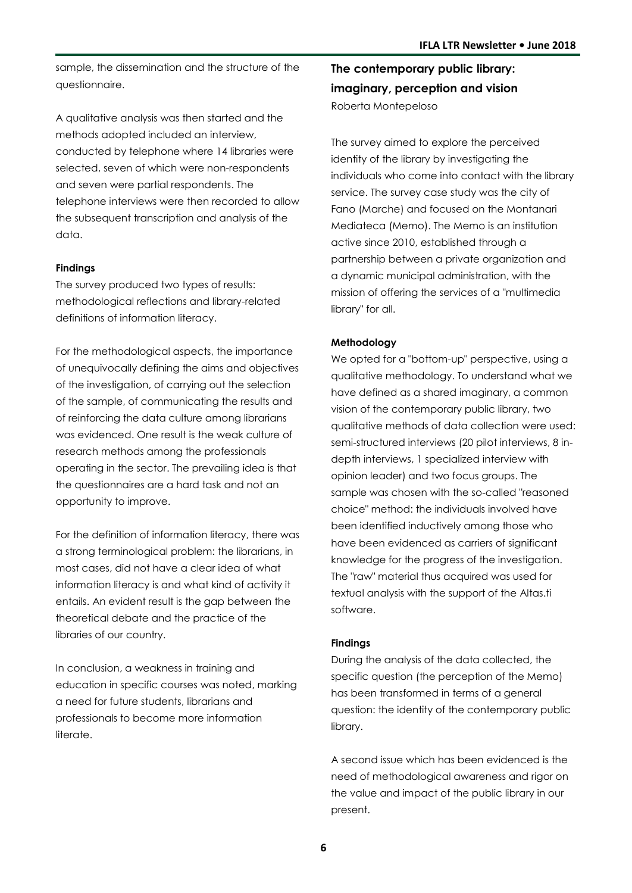sample, the dissemination and the structure of the questionnaire.

A qualitative analysis was then started and the methods adopted included an interview, conducted by telephone where 14 libraries were selected, seven of which were non-respondents and seven were partial respondents. The telephone interviews were then recorded to allow the subsequent transcription and analysis of the data.

#### **Findings**

The survey produced two types of results: methodological reflections and library-related definitions of information literacy.

For the methodological aspects, the importance of unequivocally defining the aims and objectives of the investigation, of carrying out the selection of the sample, of communicating the results and of reinforcing the data culture among librarians was evidenced. One result is the weak culture of research methods among the professionals operating in the sector. The prevailing idea is that the questionnaires are a hard task and not an opportunity to improve.

For the definition of information literacy, there was a strong terminological problem: the librarians, in most cases, did not have a clear idea of what information literacy is and what kind of activity it entails. An evident result is the gap between the theoretical debate and the practice of the libraries of our country.

In conclusion, a weakness in training and education in specific courses was noted, marking a need for future students, librarians and professionals to become more information literate.

**The contemporary public library: imaginary, perception and vision** Roberta Montepeloso

The survey aimed to explore the perceived identity of the library by investigating the individuals who come into contact with the library service. The survey case study was the city of Fano (Marche) and focused on the Montanari Mediateca (Memo). The Memo is an institution active since 2010, established through a partnership between a private organization and a dynamic municipal administration, with the mission of offering the services of a "multimedia library" for all.

#### **Methodology**

We opted for a "bottom-up" perspective, using a qualitative methodology. To understand what we have defined as a shared imaginary, a common vision of the contemporary public library, two qualitative methods of data collection were used: semi-structured interviews (20 pilot interviews, 8 indepth interviews, 1 specialized interview with opinion leader) and two focus groups. The sample was chosen with the so-called "reasoned choice" method: the individuals involved have been identified inductively among those who have been evidenced as carriers of significant knowledge for the progress of the investigation. The "raw" material thus acquired was used for textual analysis with the support of the Altas.ti software.

#### **Findings**

During the analysis of the data collected, the specific question (the perception of the Memo) has been transformed in terms of a general question: the identity of the contemporary public library.

A second issue which has been evidenced is the need of methodological awareness and rigor on the value and impact of the public library in our present.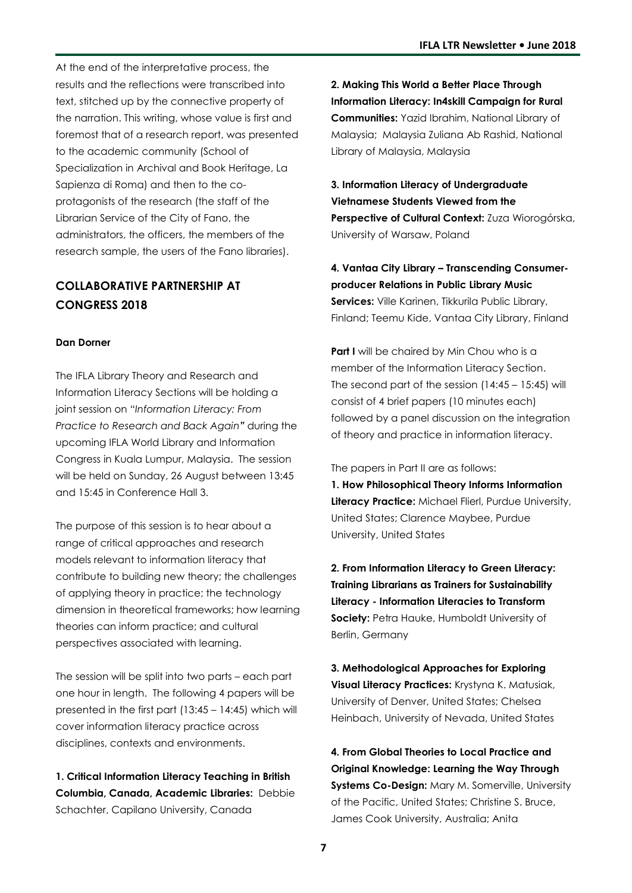At the end of the interpretative process, the results and the reflections were transcribed into text, stitched up by the connective property of the narration. This writing, whose value is first and foremost that of a research report, was presented to the academic community (School of Specialization in Archival and Book Heritage, La Sapienza di Roma) and then to the coprotagonists of the research (the staff of the Librarian Service of the City of Fano, the administrators, the officers, the members of the research sample, the users of the Fano libraries).

## **COLLABORATIVE PARTNERSHIP AT CONGRESS 2018**

#### **Dan Dorner**

The IFLA Library Theory and Research and Information Literacy Sections will be holding a joint session on *"Information Literacy: From Practice to Research and Back Again"* during the upcoming IFLA World Library and Information Congress in Kuala Lumpur, Malaysia. The session will be held on Sunday, 26 August between 13:45 and 15:45 in Conference Hall 3.

The purpose of this session is to hear about a range of critical approaches and research models relevant to information literacy that contribute to building new theory; the challenges of applying theory in practice; the technology dimension in theoretical frameworks; how learning theories can inform practice; and cultural perspectives associated with learning.

The session will be split into two parts – each part one hour in length. The following 4 papers will be presented in the first part (13:45 – 14:45) which will cover information literacy practice across disciplines, contexts and environments.

**1. Critical Information Literacy Teaching in British Columbia, Canada, Academic Libraries:** Debbie Schachter, Capilano University, Canada

**2. Making This World a Better Place Through Information Literacy: In4skill Campaign for Rural Communities:** Yazid Ibrahim, National Library of Malaysia; Malaysia Zuliana Ab Rashid, National Library of Malaysia, Malaysia

**3. Information Literacy of Undergraduate Vietnamese Students Viewed from the Perspective of Cultural Context:** Zuza Wiorogórska, University of Warsaw, Poland

**4. Vantaa City Library – Transcending Consumerproducer Relations in Public Library Music Services:** Ville Karinen, Tikkurila Public Library, Finland; Teemu Kide, Vantaa City Library, Finland

**Part I** will be chaired by Min Chou who is a member of the Information Literacy Section. The second part of the session (14:45 – 15:45) will consist of 4 brief papers (10 minutes each) followed by a panel discussion on the integration of theory and practice in information literacy.

The papers in Part II are as follows:

**1. How Philosophical Theory Informs Information Literacy Practice:** Michael Flierl, Purdue University, United States; Clarence Maybee, Purdue University, United States

**2. From Information Literacy to Green Literacy: Training Librarians as Trainers for Sustainability Literacy - Information Literacies to Transform Society:** Petra Hauke, Humboldt University of Berlin, Germany

**3. Methodological Approaches for Exploring Visual Literacy Practices:** Krystyna K. Matusiak, University of Denver, United States; Chelsea Heinbach, University of Nevada, United States

**4. From Global Theories to Local Practice and Original Knowledge: Learning the Way Through Systems Co-Design: Mary M. Somerville, University** of the Pacific, United States; Christine S. Bruce, James Cook University, Australia; Anita